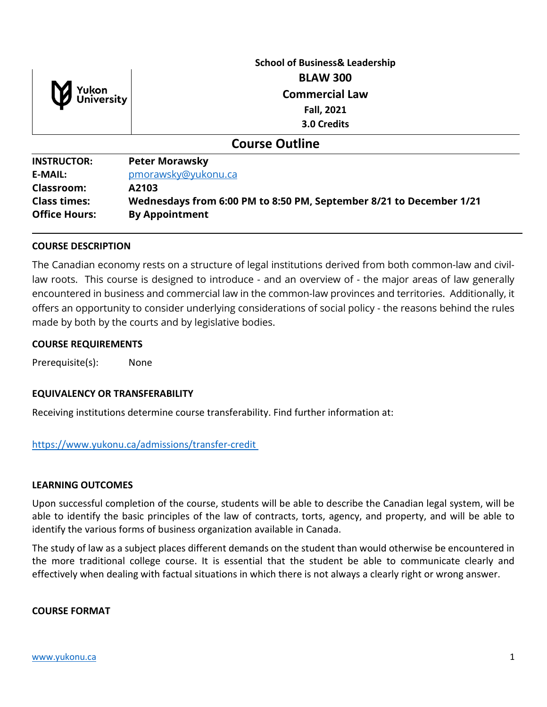

# **School of Business& Leadership BLAW 300 Commercial Law Fall, 2021 3.0 Credits**

## **Course Outline**

**INSTRUCTOR: Peter Morawsky E-MAIL:** [pmorawsky@yukonu.ca](mailto:pmorawsky@yukonu.ca) **Classroom: A2103 Class times: Wednesdays from 6:00 PM to 8:50 PM, September 8/21 to December 1/21 Office Hours: By Appointment**

#### **COURSE DESCRIPTION**

The Canadian economy rests on a structure of legal institutions derived from both common-law and civillaw roots. This course is designed to introduce - and an overview of - the major areas of law generally encountered in business and commercial law in the common-law provinces and territories. Additionally, it offers an opportunity to consider underlying considerations of social policy - the reasons behind the rules made by both by the courts and by legislative bodies.

#### **COURSE REQUIREMENTS**

Prerequisite(s): None

### **EQUIVALENCY OR TRANSFERABILITY**

Receiving institutions determine course transferability. Find further information at:

#### [https://www.yukonu.ca/admissions/transfer-credit](https://www.yukonu.ca/admissions/transfer-credit%C2%A0)

#### **LEARNING OUTCOMES**

Upon successful completion of the course, students will be able to describe the Canadian legal system, will be able to identify the basic principles of the law of contracts, torts, agency, and property, and will be able to identify the various forms of business organization available in Canada.

The study of law as a subject places different demands on the student than would otherwise be encountered in the more traditional college course. It is essential that the student be able to communicate clearly and effectively when dealing with factual situations in which there is not always a clearly right or wrong answer.

#### **COURSE FORMAT**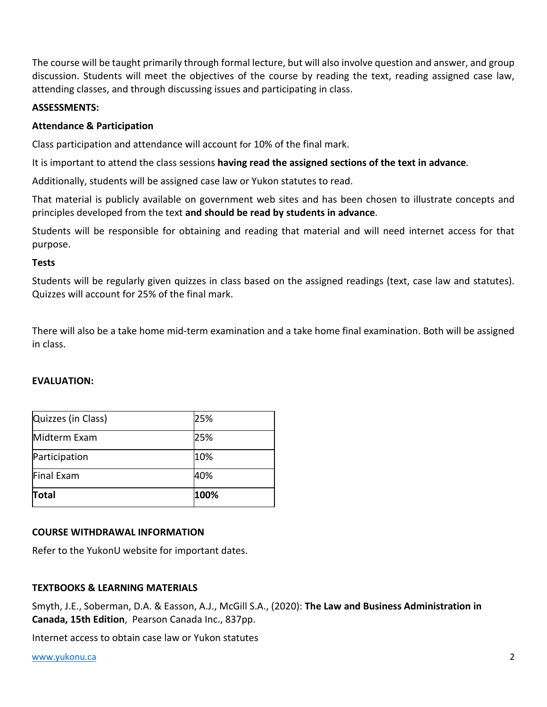The course will be taught primarily through formal lecture, but will also involve question and answer, and group discussion. Students will meet the objectives of the course by reading the text, reading assigned case law, attending classes, and through discussing issues and participating in class.

## **ASSESSMENTS:**

## **Attendance & Participation**

Class participation and attendance will account for 10% of the final mark.

It is important to attend the class sessions **having read the assigned sections of the text in advance**.

Additionally, students will be assigned case law or Yukon statutes to read.

That material is publicly available on government web sites and has been chosen to illustrate concepts and principles developed from the text **and should be read by students in advance**.

Students will be responsible for obtaining and reading that material and will need internet access for that purpose.

## **Tests**

Students will be regularly given quizzes in class based on the assigned readings (text, case law and statutes). Quizzes will account for 25% of the final mark.

There will also be a take home mid-term examination and a take home final examination. Both will be assigned in class.

### **EVALUATION:**

| Quizzes (in Class) | 25%  |
|--------------------|------|
| Midterm Exam       | 25%  |
| Participation      | 10%  |
| Final Exam         | 40%  |
| Total              | 100% |

## **COURSE WITHDRAWAL INFORMATION**

Refer to the YukonU website for important dates.

## **TEXTBOOKS & LEARNING MATERIALS**

Smyth, J.E., Soberman, D.A. & Easson, A.J., McGill S.A., (2020): **The Law and Business Administration in Canada, 15th Edition**,Pearson Canada Inc., 837pp.

Internet access to obtain case law or Yukon statutes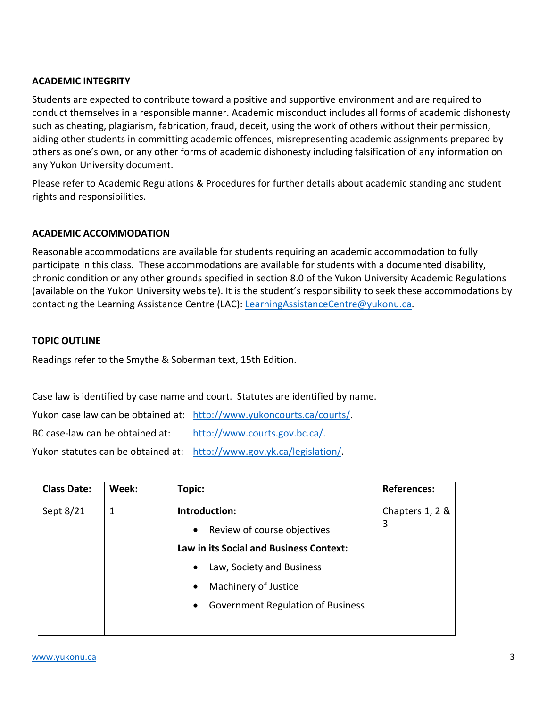## **ACADEMIC INTEGRITY**

Students are expected to contribute toward a positive and supportive environment and are required to conduct themselves in a responsible manner. Academic misconduct includes all forms of academic dishonesty such as cheating, plagiarism, fabrication, fraud, deceit, using the work of others without their permission, aiding other students in committing academic offences, misrepresenting academic assignments prepared by others as one's own, or any other forms of academic dishonesty including falsification of any information on any Yukon University document.

Please refer to Academic Regulations & Procedures for further details about academic standing and student rights and responsibilities.

## **ACADEMIC ACCOMMODATION**

Reasonable accommodations are available for students requiring an academic accommodation to fully participate in this class. These accommodations are available for students with a documented disability, chronic condition or any other grounds specified in section 8.0 of the Yukon University Academic Regulations (available on the Yukon University website). It is the student's responsibility to seek these accommodations by contacting the Learning Assistance Centre (LAC): [LearningAssistanceCentre@yukonu.ca.](mailto:LearningAssistanceCentre@yukonu.ca)

### **TOPIC OUTLINE**

Readings refer to the Smythe & Soberman text, 15th Edition.

Case law is identified by case name and court. Statutes are identified by name.

Yukon case law can be obtained at: [http://www.yukoncourts.ca/courts/.](http://www.yukoncourts.ca/courts/) BC case-law can be obtained at: [http://www.courts.gov.bc.ca/.](http://www.courts.gov.bc.ca/) Yukon statutes can be obtained at: [http://www.gov.yk.ca/legislation/.](http://www.gov.yk.ca/legislation/)

| <b>Class Date:</b> | Week: | Topic:                                                | <b>References:</b>   |
|--------------------|-------|-------------------------------------------------------|----------------------|
| Sept 8/21          | 1     | Introduction:                                         | Chapters 1, 2 &<br>3 |
|                    |       | Review of course objectives<br>$\bullet$              |                      |
|                    |       | <b>Law in its Social and Business Context:</b>        |                      |
|                    |       | Law, Society and Business<br>$\bullet$                |                      |
|                    |       | Machinery of Justice<br>$\bullet$                     |                      |
|                    |       | <b>Government Regulation of Business</b><br>$\bullet$ |                      |
|                    |       |                                                       |                      |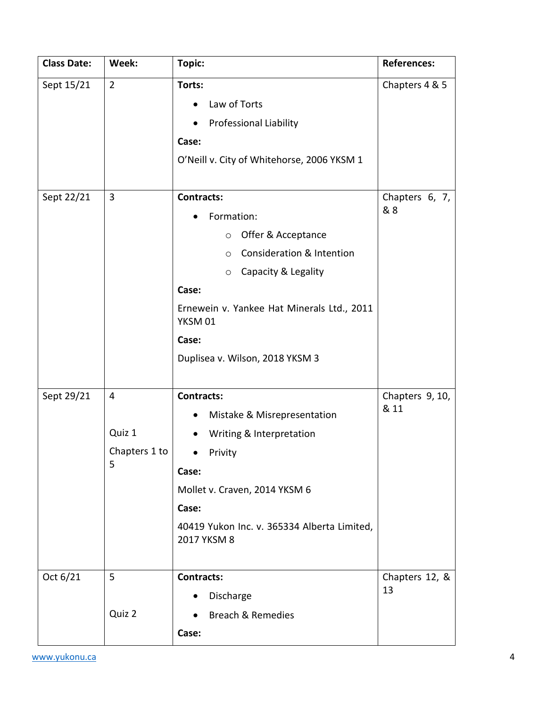| <b>Class Date:</b> | Week:                                          | Topic:                                                                                                                                                                                                                                                              | <b>References:</b>      |
|--------------------|------------------------------------------------|---------------------------------------------------------------------------------------------------------------------------------------------------------------------------------------------------------------------------------------------------------------------|-------------------------|
| Sept 15/21         | $\overline{2}$                                 | Torts:<br>Law of Torts<br><b>Professional Liability</b><br>$\bullet$<br>Case:<br>O'Neill v. City of Whitehorse, 2006 YKSM 1                                                                                                                                         | Chapters 4 & 5          |
| Sept 22/21         | 3                                              | <b>Contracts:</b><br>Formation:<br>Offer & Acceptance<br>$\circ$<br><b>Consideration &amp; Intention</b><br>$\circ$<br>Capacity & Legality<br>$\circ$<br>Case:<br>Ernewein v. Yankee Hat Minerals Ltd., 2011<br>YKSM 01<br>Case:<br>Duplisea v. Wilson, 2018 YKSM 3 | Chapters 6, 7,<br>& 8   |
| Sept 29/21         | $\overline{4}$<br>Quiz 1<br>Chapters 1 to<br>5 | <b>Contracts:</b><br>Mistake & Misrepresentation<br>Writing & Interpretation<br>$\bullet$<br>Privity<br>Case:<br>Mollet v. Craven, 2014 YKSM 6<br>Case:<br>40419 Yukon Inc. v. 365334 Alberta Limited,<br>2017 YKSM 8                                               | Chapters 9, 10,<br>& 11 |
| Oct 6/21           | 5<br>Quiz 2                                    | <b>Contracts:</b><br>Discharge<br><b>Breach &amp; Remedies</b><br>$\bullet$<br>Case:                                                                                                                                                                                | Chapters 12, &<br>13    |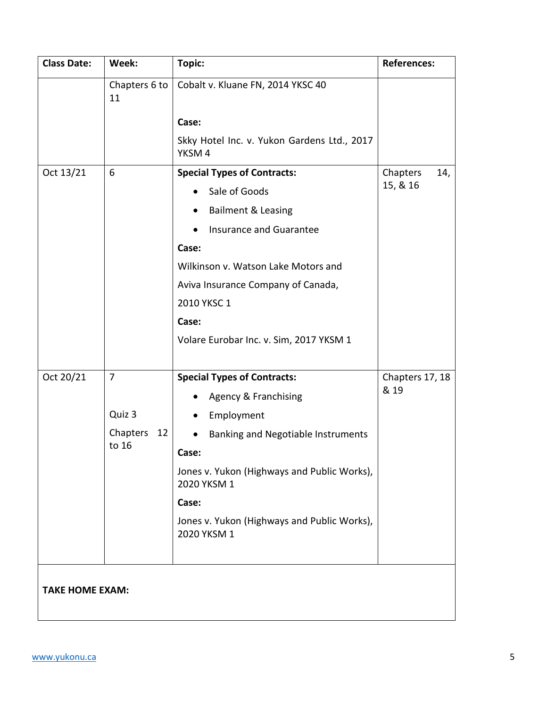| <b>Class Date:</b>     | Week:               | Topic:                                                     | <b>References:</b> |
|------------------------|---------------------|------------------------------------------------------------|--------------------|
|                        | Chapters 6 to<br>11 | Cobalt v. Kluane FN, 2014 YKSC 40                          |                    |
|                        |                     | Case:                                                      |                    |
|                        |                     | Skky Hotel Inc. v. Yukon Gardens Ltd., 2017<br>YKSM4       |                    |
| Oct 13/21              | 6                   | <b>Special Types of Contracts:</b>                         | Chapters<br>14,    |
|                        |                     | Sale of Goods                                              | 15, & 16           |
|                        |                     | <b>Bailment &amp; Leasing</b>                              |                    |
|                        |                     | <b>Insurance and Guarantee</b><br>$\bullet$                |                    |
|                        |                     | Case:                                                      |                    |
|                        |                     | Wilkinson v. Watson Lake Motors and                        |                    |
|                        |                     | Aviva Insurance Company of Canada,                         |                    |
|                        |                     | 2010 YKSC 1                                                |                    |
|                        |                     | Case:                                                      |                    |
|                        |                     | Volare Eurobar Inc. v. Sim, 2017 YKSM 1                    |                    |
| Oct 20/21              | $\overline{7}$      | <b>Special Types of Contracts:</b>                         | Chapters 17, 18    |
|                        |                     | Agency & Franchising                                       | & 19               |
|                        | Quiz 3              | Employment                                                 |                    |
|                        | Chapters<br>12      | Banking and Negotiable Instruments                         |                    |
|                        | to 16               | Case:                                                      |                    |
|                        |                     | Jones v. Yukon (Highways and Public Works),<br>2020 YKSM 1 |                    |
|                        |                     | Case:                                                      |                    |
|                        |                     | Jones v. Yukon (Highways and Public Works),<br>2020 YKSM 1 |                    |
|                        |                     |                                                            |                    |
| <b>TAKE HOME EXAM:</b> |                     |                                                            |                    |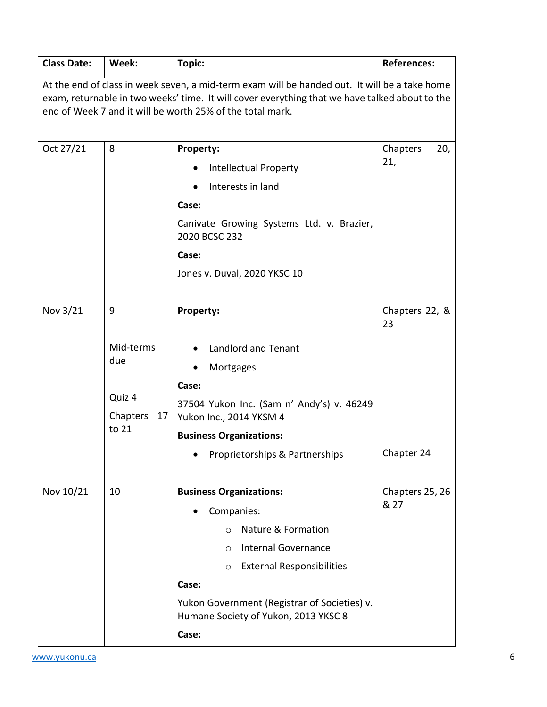| <b>Class Date:</b>                                                                                                                                                                                                                                           | Week:                                                      | Topic:                                                                                                                                                                                                                                                                          | <b>References:</b>                 |
|--------------------------------------------------------------------------------------------------------------------------------------------------------------------------------------------------------------------------------------------------------------|------------------------------------------------------------|---------------------------------------------------------------------------------------------------------------------------------------------------------------------------------------------------------------------------------------------------------------------------------|------------------------------------|
| At the end of class in week seven, a mid-term exam will be handed out. It will be a take home<br>exam, returnable in two weeks' time. It will cover everything that we have talked about to the<br>end of Week 7 and it will be worth 25% of the total mark. |                                                            |                                                                                                                                                                                                                                                                                 |                                    |
| Oct 27/21                                                                                                                                                                                                                                                    | 8                                                          | Property:<br><b>Intellectual Property</b><br>Interests in land<br>Case:<br>Canivate Growing Systems Ltd. v. Brazier,<br>2020 BCSC 232<br>Case:<br>Jones v. Duval, 2020 YKSC 10                                                                                                  | Chapters<br>20,<br>21,             |
| Nov 3/21                                                                                                                                                                                                                                                     | 9<br>Mid-terms<br>due<br>Quiz 4<br>Chapters<br>17<br>to 21 | Property:<br><b>Landlord and Tenant</b><br>Mortgages<br>Case:<br>37504 Yukon Inc. (Sam n' Andy's) v. 46249<br>Yukon Inc., 2014 YKSM 4<br><b>Business Organizations:</b><br>Proprietorships & Partnerships                                                                       | Chapters 22, &<br>23<br>Chapter 24 |
| Nov 10/21                                                                                                                                                                                                                                                    | 10                                                         | <b>Business Organizations:</b><br>Companies:<br>Nature & Formation<br>$\circ$<br><b>Internal Governance</b><br>$\circ$<br><b>External Responsibilities</b><br>$\circ$<br>Case:<br>Yukon Government (Registrar of Societies) v.<br>Humane Society of Yukon, 2013 YKSC 8<br>Case: | Chapters 25, 26<br>& 27            |